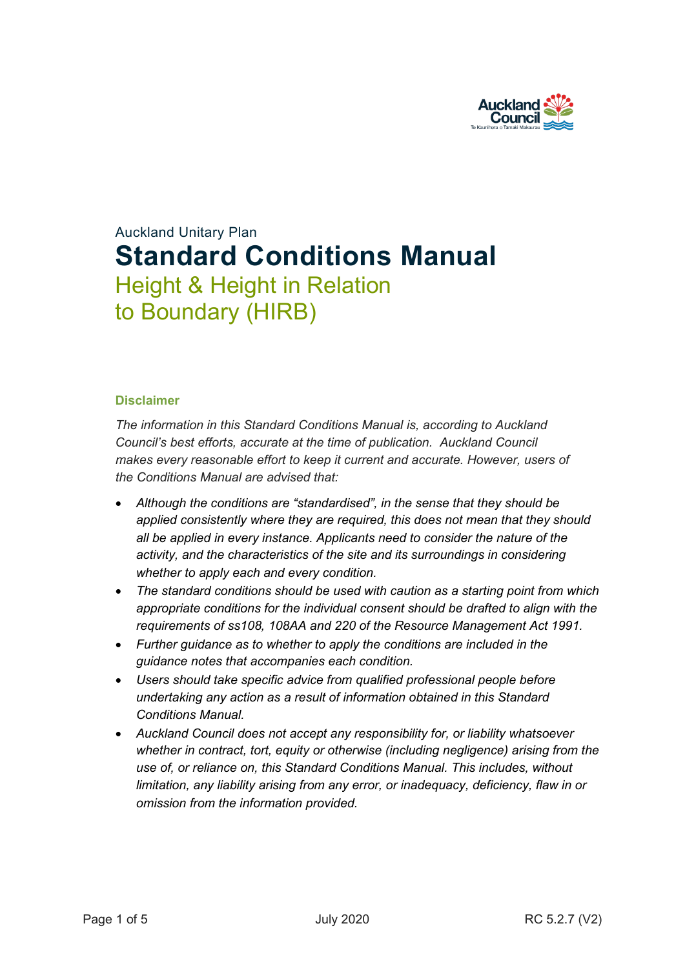

# Auckland Unitary Plan **Standard Conditions Manual** Height & Height in Relation to Boundary (HIRB)

#### **Disclaimer**

*The information in this Standard Conditions Manual is, according to Auckland Council's best efforts, accurate at the time of publication. Auckland Council makes every reasonable effort to keep it current and accurate. However, users of the Conditions Manual are advised that:* 

- *Although the conditions are "standardised", in the sense that they should be applied consistently where they are required, this does not mean that they should all be applied in every instance. Applicants need to consider the nature of the activity, and the characteristics of the site and its surroundings in considering whether to apply each and every condition.*
- *The standard conditions should be used with caution as a starting point from which appropriate conditions for the individual consent should be drafted to align with the requirements of ss108, 108AA and 220 of the Resource Management Act 1991.*
- *Further guidance as to whether to apply the conditions are included in the guidance notes that accompanies each condition.*
- *Users should take specific advice from qualified professional people before undertaking any action as a result of information obtained in this Standard Conditions Manual.*
- *Auckland Council does not accept any responsibility for, or liability whatsoever whether in contract, tort, equity or otherwise (including negligence) arising from the use of, or reliance on, this Standard Conditions Manual. This includes, without limitation, any liability arising from any error, or inadequacy, deficiency, flaw in or omission from the information provided.*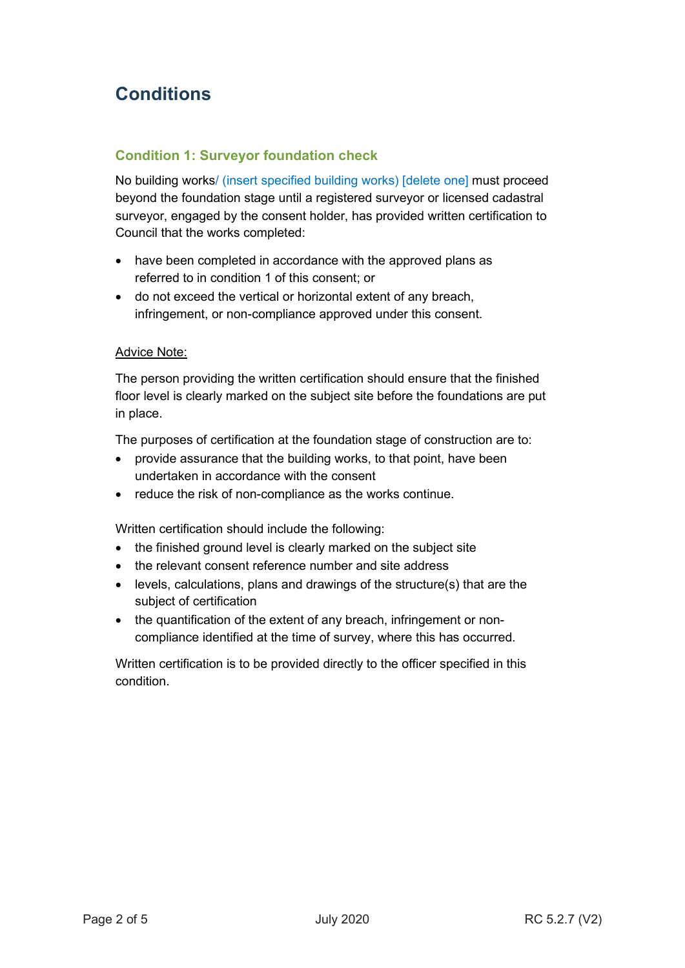# **Conditions**

### **Condition 1: Surveyor foundation check**

No building works/ (insert specified building works) [delete one] must proceed beyond the foundation stage until a registered surveyor or licensed cadastral surveyor, engaged by the consent holder, has provided written certification to Council that the works completed:

- have been completed in accordance with the approved plans as referred to in condition 1 of this consent; or
- do not exceed the vertical or horizontal extent of any breach, infringement, or non-compliance approved under this consent.

#### Advice Note:

The person providing the written certification should ensure that the finished floor level is clearly marked on the subject site before the foundations are put in place.

The purposes of certification at the foundation stage of construction are to:

- provide assurance that the building works, to that point, have been undertaken in accordance with the consent
- reduce the risk of non-compliance as the works continue.

Written certification should include the following:

- the finished ground level is clearly marked on the subject site
- the relevant consent reference number and site address
- levels, calculations, plans and drawings of the structure(s) that are the subject of certification
- the quantification of the extent of any breach, infringement or noncompliance identified at the time of survey, where this has occurred.

Written certification is to be provided directly to the officer specified in this condition.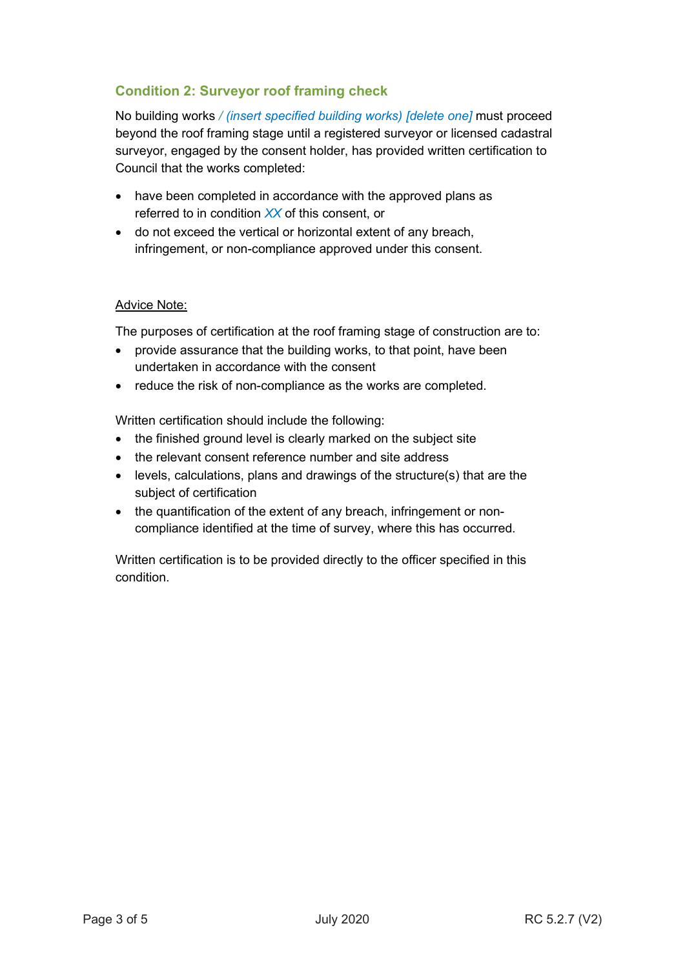# **Condition 2: Surveyor roof framing check**

No building works */ (insert specified building works) [delete one]* must proceed beyond the roof framing stage until a registered surveyor or licensed cadastral surveyor, engaged by the consent holder, has provided written certification to Council that the works completed:

- have been completed in accordance with the approved plans as referred to in condition *XX* of this consent, or
- do not exceed the vertical or horizontal extent of any breach, infringement, or non-compliance approved under this consent.

#### Advice Note:

The purposes of certification at the roof framing stage of construction are to:

- provide assurance that the building works, to that point, have been undertaken in accordance with the consent
- reduce the risk of non-compliance as the works are completed.

Written certification should include the following:

- the finished ground level is clearly marked on the subject site
- the relevant consent reference number and site address
- levels, calculations, plans and drawings of the structure(s) that are the subject of certification
- the quantification of the extent of any breach, infringement or noncompliance identified at the time of survey, where this has occurred.

Written certification is to be provided directly to the officer specified in this condition.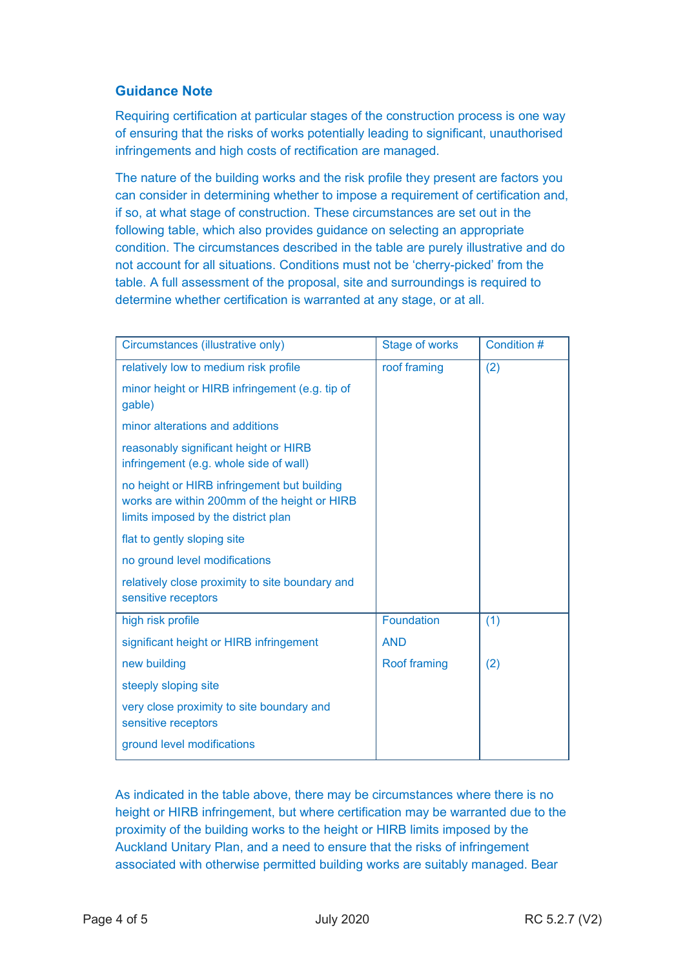## **Guidance Note**

Requiring certification at particular stages of the construction process is one way of ensuring that the risks of works potentially leading to significant, unauthorised infringements and high costs of rectification are managed.

The nature of the building works and the risk profile they present are factors you can consider in determining whether to impose a requirement of certification and, if so, at what stage of construction. These circumstances are set out in the following table, which also provides guidance on selecting an appropriate condition. The circumstances described in the table are purely illustrative and do not account for all situations. Conditions must not be 'cherry-picked' from the table. A full assessment of the proposal, site and surroundings is required to determine whether certification is warranted at any stage, or at all.

| Circumstances (illustrative only)                                                                                                  | <b>Stage of works</b> | Condition # |
|------------------------------------------------------------------------------------------------------------------------------------|-----------------------|-------------|
| relatively low to medium risk profile                                                                                              | roof framing          | (2)         |
| minor height or HIRB infringement (e.g. tip of<br>gable)                                                                           |                       |             |
| minor alterations and additions                                                                                                    |                       |             |
| reasonably significant height or HIRB<br>infringement (e.g. whole side of wall)                                                    |                       |             |
| no height or HIRB infringement but building<br>works are within 200mm of the height or HIRB<br>limits imposed by the district plan |                       |             |
| flat to gently sloping site                                                                                                        |                       |             |
| no ground level modifications                                                                                                      |                       |             |
| relatively close proximity to site boundary and<br>sensitive receptors                                                             |                       |             |
| high risk profile                                                                                                                  | <b>Foundation</b>     | (1)         |
| significant height or HIRB infringement                                                                                            | <b>AND</b>            |             |
| new building                                                                                                                       | Roof framing          | (2)         |
| steeply sloping site                                                                                                               |                       |             |
| very close proximity to site boundary and<br>sensitive receptors                                                                   |                       |             |
| ground level modifications                                                                                                         |                       |             |

As indicated in the table above, there may be circumstances where there is no height or HIRB infringement, but where certification may be warranted due to the proximity of the building works to the height or HIRB limits imposed by the Auckland Unitary Plan, and a need to ensure that the risks of infringement associated with otherwise permitted building works are suitably managed. Bear